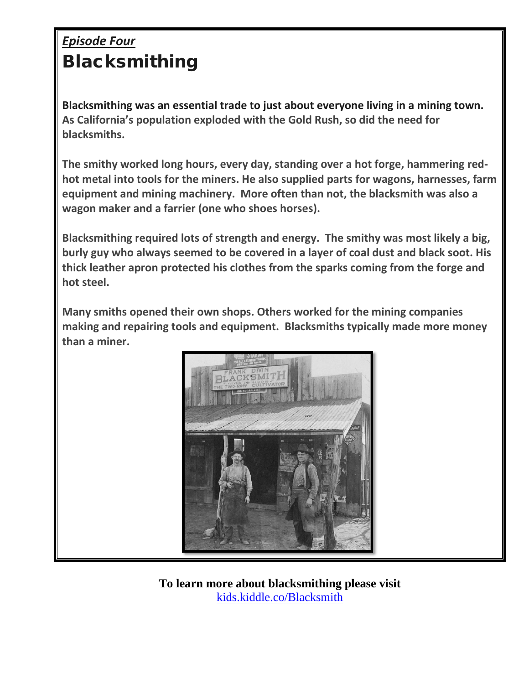## *Episode Four* Blacksmithing

**Blacksmithing was an essential trade to just about everyone living in a mining town. As California's population exploded with the Gold Rush, so did the need for blacksmiths.**

**The smithy worked long hours, every day, standing over a hot forge, hammering redhot metal into tools for the miners. He also supplied parts for wagons, harnesses, farm equipment and mining machinery. More often than not, the blacksmith was also a wagon maker and a farrier (one who shoes horses).**

**Blacksmithing required lots of strength and energy. The smithy was most likely a big, burly guy who always seemed to be covered in a layer of coal dust and black soot. His thick leather apron protected his clothes from the sparks coming from the forge and hot steel.** 

**Many smiths opened their own shops. Others worked for the mining companies making and repairing tools and equipment. Blacksmiths typically made more money than a miner.** 



**To learn more about blacksmithing please visit** [kids.kiddle.co/Blacksmith](https://kids.kiddle.co/Blacksmith)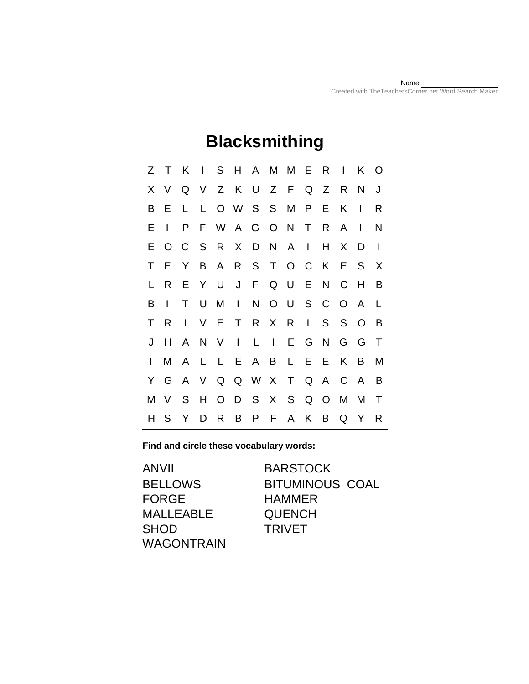## **Blacksmithing**

|              |                          |  | Z T K I S H A M M E R I     |  |  |    |   | K O            |              |
|--------------|--------------------------|--|-----------------------------|--|--|----|---|----------------|--------------|
|              |                          |  | X V Q V Z K U Z F Q Z R     |  |  |    |   | N.             | J.           |
|              |                          |  | B E L L O W S S M P E K     |  |  |    |   | $\blacksquare$ | R            |
| Е            | $\perp$                  |  | P F W A G O N T R           |  |  |    | A | $\mathbf{I}$   | N            |
|              |                          |  | E O C S R X D N A I         |  |  | H. | X | D              | $\mathbf{I}$ |
|              |                          |  | T E Y B A R S T O C K E S X |  |  |    |   |                |              |
|              |                          |  | L R E Y U J F Q U E N C     |  |  |    |   | H              | B            |
| B            | $\overline{\phantom{a}}$ |  | T U M I N O U S C O A       |  |  |    |   |                | - L          |
| Τ            | R                        |  | I V E T R X R I S           |  |  |    | S | $\circ$        | B            |
| J            | H.                       |  | A N V I L I E G N G         |  |  |    |   | G              | $\top$       |
| $\mathbf{L}$ |                          |  | M A L L E A B L E E K       |  |  |    |   | B              | M            |
|              |                          |  | Y G A V Q Q W X T Q A C A   |  |  |    |   |                | B            |
|              |                          |  | M V S H O D S X S Q O M M   |  |  |    |   |                | $\top$       |
|              |                          |  | H S Y D R B P F A K B Q Y   |  |  |    |   |                | R.           |

**Find and circle these vocabulary words:**

ANVIL BARSTOCK FORGE HAMMER MALLEABLE QUENCH SHOD TRIVET WAGONTRAIN

BELLOWS BITUMINOUS COAL